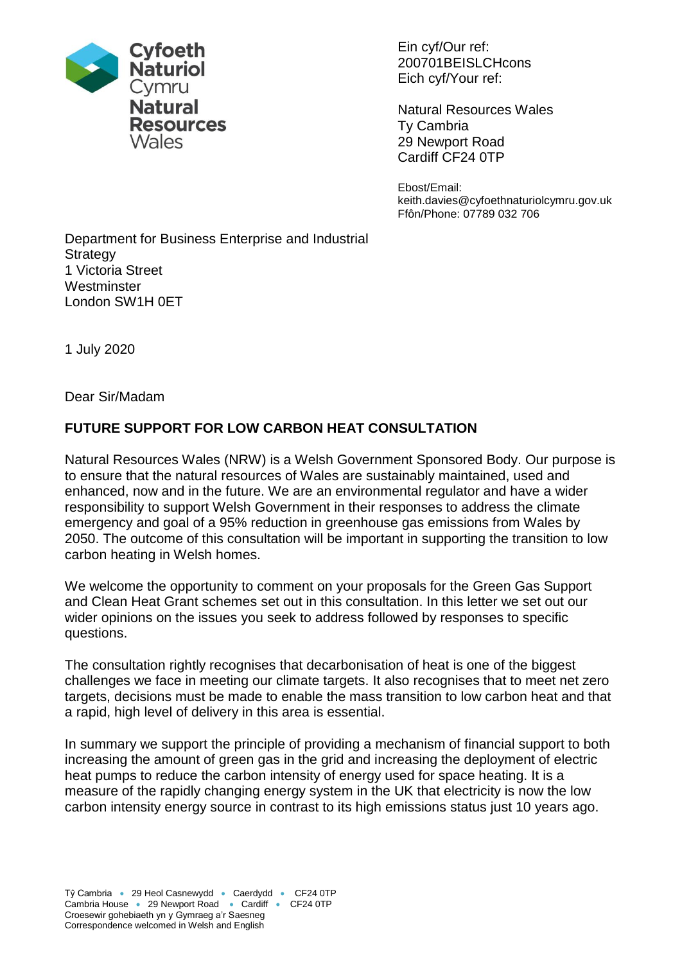

Ein cyf/Our ref: 200701BEISLCHcons Eich cyf/Your ref:

Natural Resources Wales Ty Cambria 29 Newport Road Cardiff CF24 0TP

Ebost/Email: keith.davies@cyfoethnaturiolcymru.gov.uk Ffôn/Phone: 07789 032 706

Department for Business Enterprise and Industrial **Strategy** 1 Victoria Street **Westminster** London SW1H 0ET

1 July 2020

Dear Sir/Madam

# **FUTURE SUPPORT FOR LOW CARBON HEAT CONSULTATION**

Natural Resources Wales (NRW) is a Welsh Government Sponsored Body. Our purpose is to ensure that the natural resources of Wales are sustainably maintained, used and enhanced, now and in the future. We are an environmental regulator and have a wider responsibility to support Welsh Government in their responses to address the climate emergency and goal of a 95% reduction in greenhouse gas emissions from Wales by 2050. The outcome of this consultation will be important in supporting the transition to low carbon heating in Welsh homes.

We welcome the opportunity to comment on your proposals for the Green Gas Support and Clean Heat Grant schemes set out in this consultation. In this letter we set out our wider opinions on the issues you seek to address followed by responses to specific questions.

The consultation rightly recognises that decarbonisation of heat is one of the biggest challenges we face in meeting our climate targets. It also recognises that to meet net zero targets, decisions must be made to enable the mass transition to low carbon heat and that a rapid, high level of delivery in this area is essential.

In summary we support the principle of providing a mechanism of financial support to both increasing the amount of green gas in the grid and increasing the deployment of electric heat pumps to reduce the carbon intensity of energy used for space heating. It is a measure of the rapidly changing energy system in the UK that electricity is now the low carbon intensity energy source in contrast to its high emissions status just 10 years ago.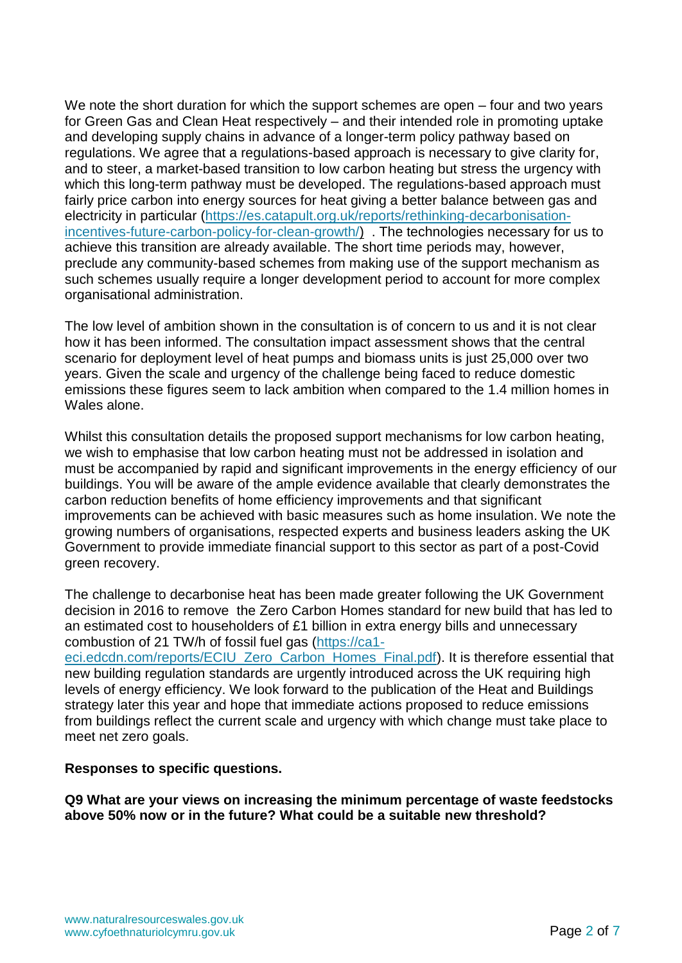We note the short duration for which the support schemes are open – four and two years for Green Gas and Clean Heat respectively – and their intended role in promoting uptake and developing supply chains in advance of a longer-term policy pathway based on regulations. We agree that a regulations-based approach is necessary to give clarity for, and to steer, a market-based transition to low carbon heating but stress the urgency with which this long-term pathway must be developed. The regulations-based approach must fairly price carbon into energy sources for heat giving a better balance between gas and electricity in particular [\(https://es.catapult.org.uk/reports/rethinking-decarbonisation](https://es.catapult.org.uk/reports/rethinking-decarbonisation-incentives-future-carbon-policy-for-clean-growth/)[incentives-future-carbon-policy-for-clean-growth/\)](https://es.catapult.org.uk/reports/rethinking-decarbonisation-incentives-future-carbon-policy-for-clean-growth/) . The technologies necessary for us to achieve this transition are already available. The short time periods may, however, preclude any community-based schemes from making use of the support mechanism as such schemes usually require a longer development period to account for more complex organisational administration.

The low level of ambition shown in the consultation is of concern to us and it is not clear how it has been informed. The consultation impact assessment shows that the central scenario for deployment level of heat pumps and biomass units is just 25,000 over two years. Given the scale and urgency of the challenge being faced to reduce domestic emissions these figures seem to lack ambition when compared to the 1.4 million homes in Wales alone.

Whilst this consultation details the proposed support mechanisms for low carbon heating, we wish to emphasise that low carbon heating must not be addressed in isolation and must be accompanied by rapid and significant improvements in the energy efficiency of our buildings. You will be aware of the ample evidence available that clearly demonstrates the carbon reduction benefits of home efficiency improvements and that significant improvements can be achieved with basic measures such as home insulation. We note the growing numbers of organisations, respected experts and business leaders asking the UK Government to provide immediate financial support to this sector as part of a post-Covid green recovery.

The challenge to decarbonise heat has been made greater following the UK Government decision in 2016 to remove the Zero Carbon Homes standard for new build that has led to an estimated cost to householders of £1 billion in extra energy bills and unnecessary combustion of 21 TW/h of fossil fuel gas [\(https://ca1-](https://ca1-eci.edcdn.com/reports/ECIU_Zero_Carbon_Homes_Final.pdf)

[eci.edcdn.com/reports/ECIU\\_Zero\\_Carbon\\_Homes\\_Final.pdf\)](https://ca1-eci.edcdn.com/reports/ECIU_Zero_Carbon_Homes_Final.pdf). It is therefore essential that new building regulation standards are urgently introduced across the UK requiring high levels of energy efficiency. We look forward to the publication of the Heat and Buildings strategy later this year and hope that immediate actions proposed to reduce emissions from buildings reflect the current scale and urgency with which change must take place to meet net zero goals.

### **Responses to specific questions.**

**Q9 What are your views on increasing the minimum percentage of waste feedstocks above 50% now or in the future? What could be a suitable new threshold?**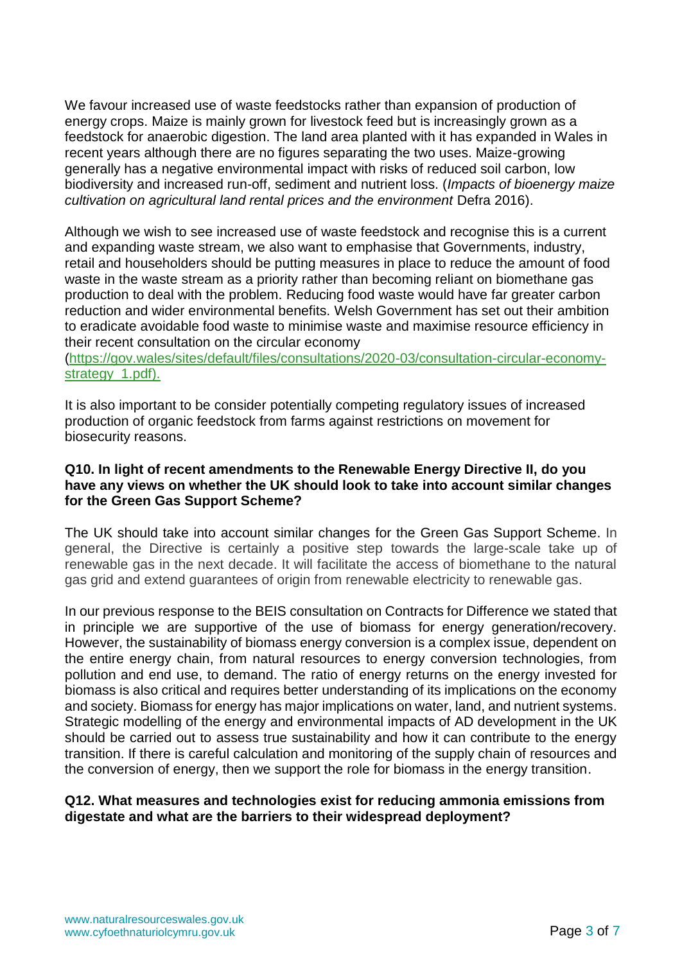We favour increased use of waste feedstocks rather than expansion of production of energy crops. Maize is mainly grown for livestock feed but is increasingly grown as a feedstock for anaerobic digestion. The land area planted with it has expanded in Wales in recent years although there are no figures separating the two uses. Maize-growing generally has a negative environmental impact with risks of reduced soil carbon, low biodiversity and increased run-off, sediment and nutrient loss. (*Impacts of bioenergy maize cultivation on agricultural land rental prices and the environment* Defra 2016).

Although we wish to see increased use of waste feedstock and recognise this is a current and expanding waste stream, we also want to emphasise that Governments, industry, retail and householders should be putting measures in place to reduce the amount of food waste in the waste stream as a priority rather than becoming reliant on biomethane gas production to deal with the problem. Reducing food waste would have far greater carbon reduction and wider environmental benefits. Welsh Government has set out their ambition to eradicate avoidable food waste to minimise waste and maximise resource efficiency in their recent consultation on the circular economy

[\(https://gov.wales/sites/default/files/consultations/2020-03/consultation-circular-economy](https://gov.wales/sites/default/files/consultations/2020-03/consultation-circular-economy-strategy_1.pdf)strategy 1.pdf).

It is also important to be consider potentially competing regulatory issues of increased production of organic feedstock from farms against restrictions on movement for biosecurity reasons.

### **Q10. In light of recent amendments to the Renewable Energy Directive II, do you have any views on whether the UK should look to take into account similar changes for the Green Gas Support Scheme?**

The UK should take into account similar changes for the Green Gas Support Scheme. In general, the Directive is certainly a positive step towards the large-scale take up of renewable gas in the next decade. It will facilitate the access of biomethane to the natural gas grid and extend guarantees of origin from renewable electricity to renewable gas.

In our previous response to the BEIS consultation on Contracts for Difference we stated that in principle we are supportive of the use of biomass for energy generation/recovery. However, the sustainability of biomass energy conversion is a complex issue, dependent on the entire energy chain, from natural resources to energy conversion technologies, from pollution and end use, to demand. The ratio of energy returns on the energy invested for biomass is also critical and requires better understanding of its implications on the economy and society. Biomass for energy has major implications on water, land, and nutrient systems. Strategic modelling of the energy and environmental impacts of AD development in the UK should be carried out to assess true sustainability and how it can contribute to the energy transition. If there is careful calculation and monitoring of the supply chain of resources and the conversion of energy, then we support the role for biomass in the energy transition.

# **Q12. What measures and technologies exist for reducing ammonia emissions from digestate and what are the barriers to their widespread deployment?**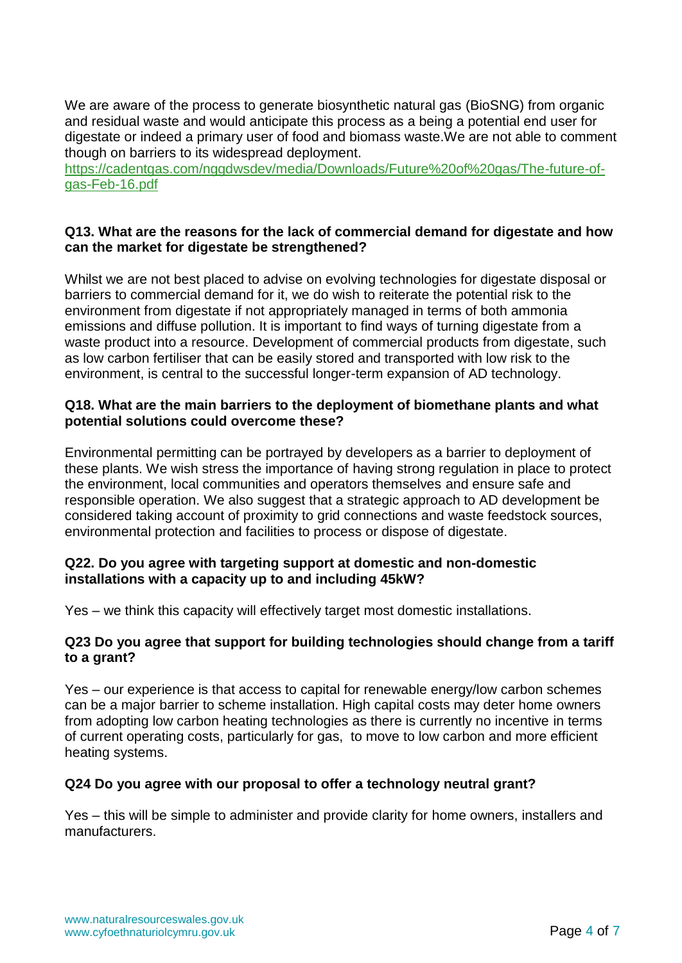We are aware of the process to generate biosynthetic natural gas (BioSNG) from organic and residual waste and would anticipate this process as a being a potential end user for digestate or indeed a primary user of food and biomass waste.We are not able to comment though on barriers to its widespread deployment.

[https://cadentgas.com/nggdwsdev/media/Downloads/Future%20of%20gas/The-future-of](https://cadentgas.com/nggdwsdev/media/Downloads/Future%20of%20gas/The-future-of-gas-Feb-16.pdf)[gas-Feb-16.pdf](https://cadentgas.com/nggdwsdev/media/Downloads/Future%20of%20gas/The-future-of-gas-Feb-16.pdf)

### **Q13. What are the reasons for the lack of commercial demand for digestate and how can the market for digestate be strengthened?**

Whilst we are not best placed to advise on evolving technologies for digestate disposal or barriers to commercial demand for it, we do wish to reiterate the potential risk to the environment from digestate if not appropriately managed in terms of both ammonia emissions and diffuse pollution. It is important to find ways of turning digestate from a waste product into a resource. Development of commercial products from digestate, such as low carbon fertiliser that can be easily stored and transported with low risk to the environment, is central to the successful longer-term expansion of AD technology.

### **Q18. What are the main barriers to the deployment of biomethane plants and what potential solutions could overcome these?**

Environmental permitting can be portrayed by developers as a barrier to deployment of these plants. We wish stress the importance of having strong regulation in place to protect the environment, local communities and operators themselves and ensure safe and responsible operation. We also suggest that a strategic approach to AD development be considered taking account of proximity to grid connections and waste feedstock sources, environmental protection and facilities to process or dispose of digestate.

# **Q22. Do you agree with targeting support at domestic and non-domestic installations with a capacity up to and including 45kW?**

Yes – we think this capacity will effectively target most domestic installations.

### **Q23 Do you agree that support for building technologies should change from a tariff to a grant?**

Yes – our experience is that access to capital for renewable energy/low carbon schemes can be a major barrier to scheme installation. High capital costs may deter home owners from adopting low carbon heating technologies as there is currently no incentive in terms of current operating costs, particularly for gas, to move to low carbon and more efficient heating systems.

### **Q24 Do you agree with our proposal to offer a technology neutral grant?**

Yes – this will be simple to administer and provide clarity for home owners, installers and manufacturers.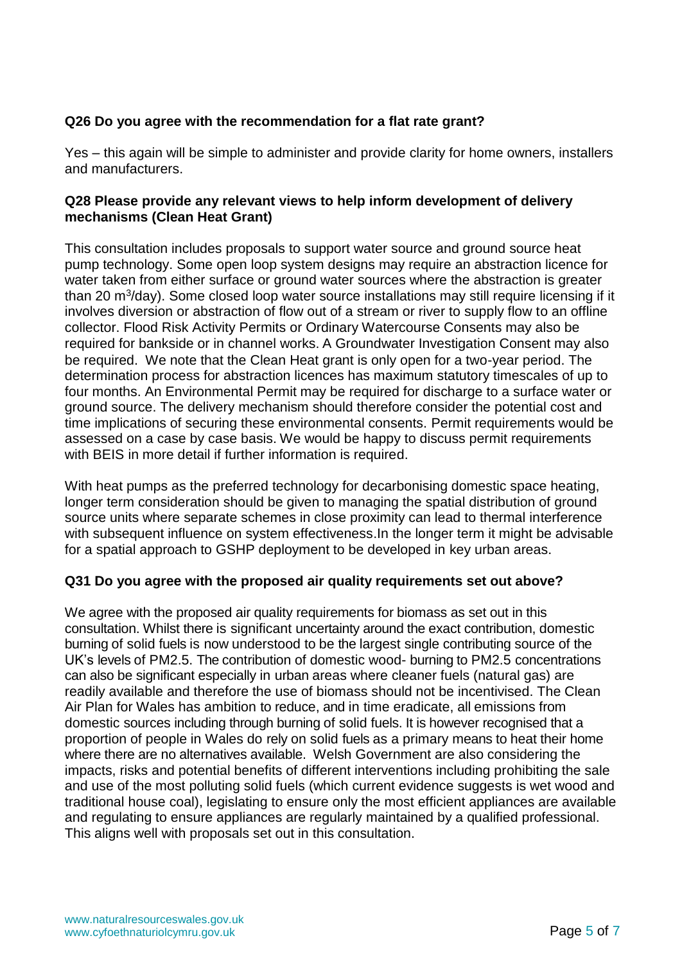# **Q26 Do you agree with the recommendation for a flat rate grant?**

Yes – this again will be simple to administer and provide clarity for home owners, installers and manufacturers.

# **Q28 Please provide any relevant views to help inform development of delivery mechanisms (Clean Heat Grant)**

This consultation includes proposals to support water source and ground source heat pump technology. Some open loop system designs may require an abstraction licence for water taken from either surface or ground water sources where the abstraction is greater than 20 m<sup>3</sup>/day). Some closed loop water source installations may still require licensing if it involves diversion or abstraction of flow out of a stream or river to supply flow to an offline collector. Flood Risk Activity Permits or Ordinary Watercourse Consents may also be required for bankside or in channel works. A Groundwater Investigation Consent may also be required. We note that the Clean Heat grant is only open for a two-year period. The determination process for abstraction licences has maximum statutory timescales of up to four months. An Environmental Permit may be required for discharge to a surface water or ground source. The delivery mechanism should therefore consider the potential cost and time implications of securing these environmental consents. Permit requirements would be assessed on a case by case basis. We would be happy to discuss permit requirements with BEIS in more detail if further information is required.

With heat pumps as the preferred technology for decarbonising domestic space heating, longer term consideration should be given to managing the spatial distribution of ground source units where separate schemes in close proximity can lead to thermal interference with subsequent influence on system effectiveness.In the longer term it might be advisable for a spatial approach to GSHP deployment to be developed in key urban areas.

### **Q31 Do you agree with the proposed air quality requirements set out above?**

We agree with the proposed air quality requirements for biomass as set out in this consultation. Whilst there is significant uncertainty around the exact contribution, domestic burning of solid fuels is now understood to be the largest single contributing source of the UK's levels of PM2.5. The contribution of domestic wood- burning to PM2.5 concentrations can also be significant especially in urban areas where cleaner fuels (natural gas) are readily available and therefore the use of biomass should not be incentivised. The Clean Air Plan for Wales has ambition to reduce, and in time eradicate, all emissions from domestic sources including through burning of solid fuels. It is however recognised that a proportion of people in Wales do rely on solid fuels as a primary means to heat their home where there are no alternatives available. Welsh Government are also considering the impacts, risks and potential benefits of different interventions including prohibiting the sale and use of the most polluting solid fuels (which current evidence suggests is wet wood and traditional house coal), legislating to ensure only the most efficient appliances are available and regulating to ensure appliances are regularly maintained by a qualified professional. This aligns well with proposals set out in this consultation.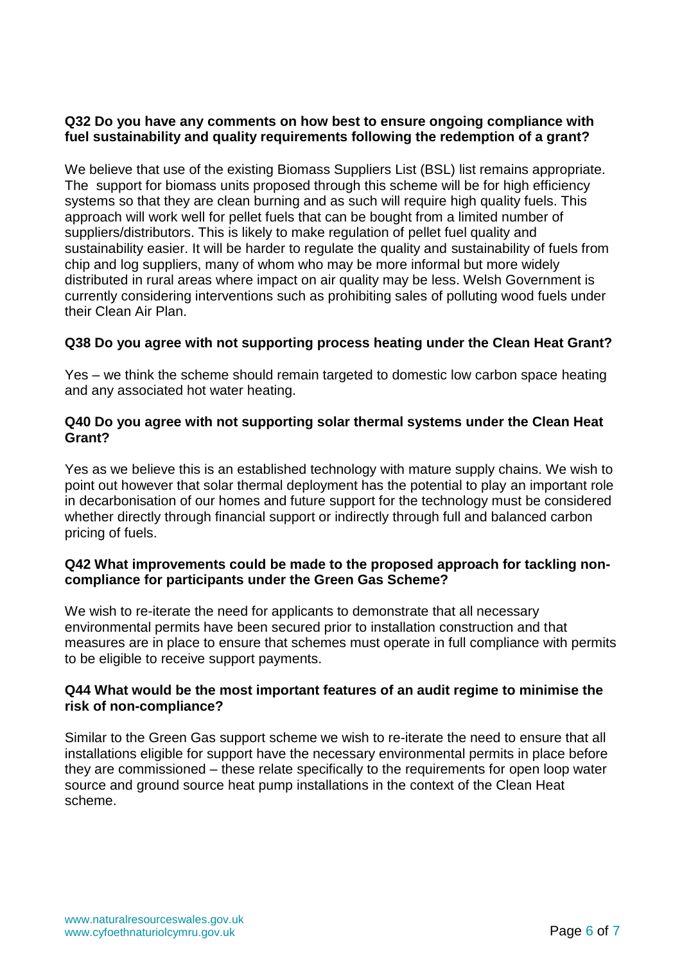### **Q32 Do you have any comments on how best to ensure ongoing compliance with fuel sustainability and quality requirements following the redemption of a grant?**

We believe that use of the existing Biomass Suppliers List (BSL) list remains appropriate. The support for biomass units proposed through this scheme will be for high efficiency systems so that they are clean burning and as such will require high quality fuels. This approach will work well for pellet fuels that can be bought from a limited number of suppliers/distributors. This is likely to make regulation of pellet fuel quality and sustainability easier. It will be harder to regulate the quality and sustainability of fuels from chip and log suppliers, many of whom who may be more informal but more widely distributed in rural areas where impact on air quality may be less. Welsh Government is currently considering interventions such as prohibiting sales of polluting wood fuels under their Clean Air Plan.

# **Q38 Do you agree with not supporting process heating under the Clean Heat Grant?**

Yes – we think the scheme should remain targeted to domestic low carbon space heating and any associated hot water heating.

### **Q40 Do you agree with not supporting solar thermal systems under the Clean Heat Grant?**

Yes as we believe this is an established technology with mature supply chains. We wish to point out however that solar thermal deployment has the potential to play an important role in decarbonisation of our homes and future support for the technology must be considered whether directly through financial support or indirectly through full and balanced carbon pricing of fuels.

### **Q42 What improvements could be made to the proposed approach for tackling noncompliance for participants under the Green Gas Scheme?**

We wish to re-iterate the need for applicants to demonstrate that all necessary environmental permits have been secured prior to installation construction and that measures are in place to ensure that schemes must operate in full compliance with permits to be eligible to receive support payments.

### **Q44 What would be the most important features of an audit regime to minimise the risk of non-compliance?**

Similar to the Green Gas support scheme we wish to re-iterate the need to ensure that all installations eligible for support have the necessary environmental permits in place before they are commissioned – these relate specifically to the requirements for open loop water source and ground source heat pump installations in the context of the Clean Heat scheme.